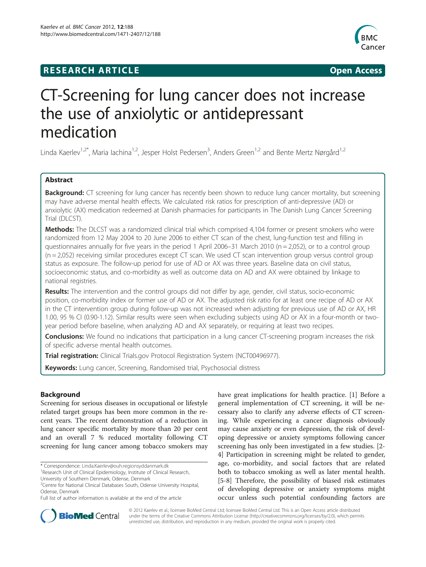# **RESEARCH ARTICLE Example 2014 CONSIDERING CONSIDERING CONSIDERING CONSIDERING CONSIDERING CONSIDERING CONSIDERING CONSIDERING CONSIDERING CONSIDERING CONSIDERING CONSIDERING CONSIDERING CONSIDERING CONSIDERING CONSIDE**



# CT-Screening for lung cancer does not increase the use of anxiolytic or antidepressant medication

Linda Kaerlev<sup>1,2\*</sup>, Maria lachina<sup>1,2</sup>, Jesper Holst Pedersen<sup>3</sup>, Anders Green<sup>1,2</sup> and Bente Mertz Nørgård<sup>1,2</sup>

# Abstract

Background: CT screening for lung cancer has recently been shown to reduce lung cancer mortality, but screening may have adverse mental health effects. We calculated risk ratios for prescription of anti-depressive (AD) or anxiolytic (AX) medication redeemed at Danish pharmacies for participants in The Danish Lung Cancer Screening Trial (DLCST).

Methods: The DLCST was a randomized clinical trial which comprised 4,104 former or present smokers who were randomized from 12 May 2004 to 20 June 2006 to either CT scan of the chest, lung-function test and filling in questionnaires annually for five years in the period 1 April 2006–31 March 2010 ( $n = 2,052$ ), or to a control group  $(n = 2,052)$  receiving similar procedures except CT scan. We used CT scan intervention group versus control group status as exposure. The follow-up period for use of AD or AX was three years. Baseline data on civil status, socioeconomic status, and co-morbidity as well as outcome data on AD and AX were obtained by linkage to national registries.

Results: The intervention and the control groups did not differ by age, gender, civil status, socio-economic position, co-morbidity index or former use of AD or AX. The adjusted risk ratio for at least one recipe of AD or AX in the CT intervention group during follow-up was not increased when adjusting for previous use of AD or AX, HR 1.00, 95 % CI (0.90-1.12). Similar results were seen when excluding subjects using AD or AX in a four-month or twoyear period before baseline, when analyzing AD and AX separately, or requiring at least two recipes.

**Conclusions:** We found no indications that participation in a lung cancer CT-screening program increases the risk of specific adverse mental health outcomes.

Trial registration: Clinical Trials.gov Protocol Registration System (NCT00496977).

**Keywords:** Lung cancer, Screening, Randomised trial, Psychosocial distress

# Background

Screening for serious diseases in occupational or lifestyle related target groups has been more common in the recent years. The recent demonstration of a reduction in lung cancer specific mortality by more than 20 per cent and an overall 7 % reduced mortality following CT screening for lung cancer among tobacco smokers may

\* Correspondence: [Linda.Kaerlev@ouh.regionsyddanmark.dk](mailto:Linda.Kaerlev@ouh.regionsyddanmark.dk) <sup>1</sup>

<sup>1</sup> Research Unit of Clinical Epidemiology, Institute of Clinical Research,

University of Southern Denmark, Odense, Denmark

have great implications for health practice. [[1\]](#page-5-0) Before a general implementation of CT screening, it will be necessary also to clarify any adverse effects of CT screening. While experiencing a cancer diagnosis obviously may cause anxiety or even depression, the risk of developing depressive or anxiety symptoms following cancer screening has only been investigated in a few studies. [\[2-](#page-5-0) [4\]](#page-5-0) Participation in screening might be related to gender, age, co-morbidity, and social factors that are related both to tobacco smoking as well as later mental health. [[5-8](#page-5-0)] Therefore, the possibility of biased risk estimates of developing depressive or anxiety symptoms might occur unless such potential confounding factors are



© 2012 Kaerlev et al.; licensee BioMed Central Ltd; licensee BioMed Central Ltd. This is an Open Access article distributed under the terms of the Creative Commons Attribution License ([http://creativecommons.org/licenses/by/2.0\)](http://creativecommons.org/licenses/by/2.0), which permits unrestricted use, distribution, and reproduction in any medium, provided the original work is properly cited.

<sup>&</sup>lt;sup>2</sup> Centre for National Clinical Databases South, Odense University Hospital, Odense, Denmark

Full list of author information is available at the end of the article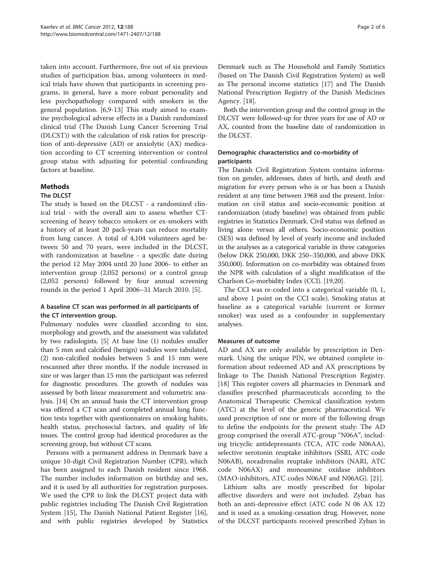taken into account. Furthermore, five out of six previous studies of participation bias, among volunteers in medical trials have shown that participants in screening programs, in general, have a more robust personality and less psychopathology compared with smokers in the general population. [[6,9-13\]](#page-5-0) This study aimed to examine psychological adverse effects in a Danish randomized clinical trial (The Danish Lung Cancer Screening Trial (DLCST)) with the calculation of risk ratios for prescription of anti-depressive (AD) or anxiolytic (AX) medication according to CT screening intervention or control group status with adjusting for potential confounding factors at baseline.

# Methods

## The DLCST

The study is based on the DLCST - a randomized clinical trial - with the overall aim to assess whether CTscreening of heavy tobacco smokers or ex-smokers with a history of at least 20 pack-years can reduce mortality from lung cancer. A total of 4,104 volunteers aged between 50 and 70 years, were included in the DLCST, with randomization at baseline - a specific date during the period 12 May 2004 until 20 June 2006- to either an intervention group (2,052 persons) or a control group (2,052 persons) followed by four annual screening rounds in the period 1 April 2006–31 March 2010. [[5\]](#page-5-0).

# A baseline CT scan was performed in all participants of the CT intervention group.

Pulmonary nodules were classified according to size, morphology and growth, and the assessment was validated by two radiologists. [\[5](#page-5-0)] At base line (1) nodules smaller than 5 mm and calcified (benign) nodules were tabulated, (2) non-calcified nodules between 5 and 15 mm were rescanned after three months. If the nodule increased in size or was larger than 15 mm the participant was referred for diagnostic procedures. The growth of nodules was assessed by both linear measurement and volumetric analysis. [\[14\]](#page-5-0) On an annual basis the CT intervention group was offered a CT scan and completed annual lung function tests together with questionnaires on smoking habits, health status, psychosocial factors, and quality of life issues. The control group had identical procedures as the screening group, but without CT scans.

Persons with a permanent address in Denmark have a unique 10-digit Civil Registration Number (CPR), which has been assigned to each Danish resident since 1968. The number includes information on birthday and sex, and it is used by all authorities for registration purposes. We used the CPR to link the DLCST project data with public registries including The Danish Civil Registration System [[15\]](#page-5-0), The Danish National Patient Register [\[16](#page-5-0)], and with public registries developed by Statistics Denmark such as The Household and Family Statistics (based on The Danish Civil Registration System) as well as The personal income statistics [[17\]](#page-5-0) and The Danish National Prescription Registry of the Danish Medicines Agency. [\[18](#page-5-0)].

Both the intervention group and the control group in the DLCST were followed-up for three years for use of AD or AX, counted from the baseline date of randomization in the DLCST.

# Demographic characteristics and co-morbidity of participants

The Danish Civil Registration System contains information on gender, addresses, dates of birth, and death and migration for every person who is or has been a Danish resident at any time between 1968 and the present. Information on civil status and socio-economic position at randomization (study baseline) was obtained from public registries in Statistics Denmark. Civil status was defined as living alone versus all others. Socio-economic position (SES) was defined by level of yearly income and included in the analyses as a categorical variable in three categories (below DKK 250,000, DKK 250–350,000, and above DKK 350,000). Information on co-morbidity was obtained from the NPR with calculation of a slight modification of the Charlson Co-morbidity Index (CCI). [[19,20\]](#page-5-0).

The CCI was re-coded into a categorical variable (0, 1, and above 1 point on the CCI scale). Smoking status at baseline as a categorical variable (current or former smoker) was used as a confounder in supplementary analyses.

## Measures of outcome

AD and AX are only available by prescription in Denmark. Using the unique PIN, we obtained complete information about redeemed AD and AX prescriptions by linkage to The Danish National Prescription Registry. [[18\]](#page-5-0) This register covers all pharmacies in Denmark and classifies prescribed pharmaceuticals according to the Anatomical Therapeutic Chemical classification system (ATC) at the level of the generic pharmaceutical. We used prescription of one or more of the following drugs to define the endpoints for the present study: The AD group comprised the overall ATC-group "N06A", including tricyclic antidepressants (TCA, ATC code N06AA), selective serotonin reuptake inhibitors (SSRI, ATC code N06AB), noradrenalin reuptake inhibitors (NARI, ATC code N06AX) and monoamine oxidase inhibitors (MAO-inhibitors, ATC codes N06AF and N06AG). [\[21\]](#page-5-0).

Lithium salts are mostly prescribed for bipolar affective disorders and were not included. Zyban has both an anti-depressive effect (ATC code N 06 AX 12) and is used as a smoking-cessation drug. However, none of the DLCST participants received prescribed Zyban in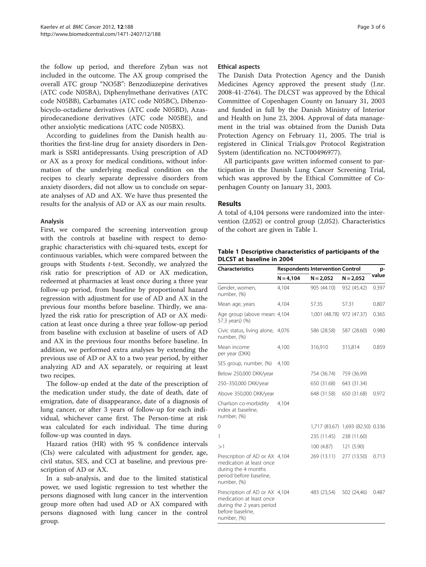<span id="page-2-0"></span>the follow up period, and therefore Zyban was not included in the outcome. The AX group comprised the overall ATC group "NO5B": Benzodiazepine derivatives (ATC code N05BA), Diphenylmethane derivatives (ATC code N05BB), Carbamates (ATC code N05BC), Dibenzobicyclo-octadiene derivatives (ATC code N05BD), Azaspirodecanedione derivatives (ATC code N05BE), and other anxiolytic medications (ATC code N05BX).

According to guidelines from the Danish health authorities the first-line drug for anxiety disorders in Denmark is SSRI antidepressants. Using prescription of AD or AX as a proxy for medical conditions, without information of the underlying medical condition on the recipes to clearly separate depressive disorders from anxiety disorders, did not allow us to conclude on separate analyses of AD and AX. We have thus presented the results for the analysis of AD or AX as our main results.

#### Analysis

First, we compared the screening intervention group with the controls at baseline with respect to demographic characteristics with chi-squared tests, except for continuous variables, which were compared between the groups with Students t-test. Secondly, we analyzed the risk ratio for prescription of AD or AX medication, redeemed at pharmacies at least once during a three year follow-up period, from baseline by proportional hazard regression with adjustment for use of AD and AX in the previous four months before baseline. Thirdly, we analyzed the risk ratio for prescription of AD or AX medication at least once during a three year follow-up period from baseline with exclusion at baseline of users of AD and AX in the previous four months before baseline. In addition, we performed extra analyses by extending the previous use of AD or AX to a two year period, by either analyzing AD and AX separately, or requiring at least two recipes.

The follow-up ended at the date of the prescription of the medication under study, the date of death, date of emigration, date of disappearance, date of a diagnosis of lung cancer, or after 3 years of follow-up for each individual, whichever came first. The Person-time at risk was calculated for each individual. The time during follow-up was counted in days.

Hazard ratios (HR) with 95 % confidence intervals (CIs) were calculated with adjustment for gender, age, civil status, SES, and CCI at baseline, and previous prescription of AD or AX.

In a sub-analysis, and due to the limited statistical power, we used logistic regression to test whether the persons diagnosed with lung cancer in the intervention group more often had used AD or AX compared with persons diagnosed with lung cancer in the control group.

#### Ethical aspects

The Danish Data Protection Agency and the Danish Medicines Agency approved the present study (J.nr. 2008-41-2764). The DLCST was approved by the Ethical Committee of Copenhagen County on January 31, 2003 and funded in full by the Danish Ministry of Interior and Health on June 23, 2004. Approval of data management in the trial was obtained from the Danish Data Protection Agency on February 11, 2005. The trial is registered in Clinical Trials.gov Protocol Registration System (identification no. NCT00496977).

All participants gave written informed consent to participation in the Danish Lung Cancer Screening Trial, which was approved by the Ethical Committee of Copenhagen County on January 31, 2003.

## Results

A total of 4,104 persons were randomized into the intervention (2,052) or control group (2,052). Characteristics of the cohort are given in Table 1.

# Table 1 Descriptive characteristics of participants of the DLCST at baseline in 2004

| <b>Characteristics</b>                                                                                                      | <b>Respondents Intervention Control</b> |                           |                                   | p-    |
|-----------------------------------------------------------------------------------------------------------------------------|-----------------------------------------|---------------------------|-----------------------------------|-------|
|                                                                                                                             | $N = 4,104$                             | $N = 2,052$               | $N = 2,052$                       | value |
| Gender, women,<br>number, (%)                                                                                               | 4,104                                   | 905 (44.10)               | 932 (45.42)                       | 0.397 |
| Mean age, years                                                                                                             | 4,104                                   | 57.35                     | 57.31                             | 0.807 |
| Age group (above mean: 4,104<br>57.3 years) (%)                                                                             |                                         | 1,001 (48.78) 972 (47.37) |                                   | 0.365 |
| Civic status, living alone, 4,076<br>number, (%)                                                                            |                                         | 586 (28.58)               | 587 (28.60)                       | 0.980 |
| Mean income<br>per year (DKK)                                                                                               | 4,100                                   | 316,910                   | 315,814                           | 0.859 |
| SES group, number, (%)                                                                                                      | 4,100                                   |                           |                                   |       |
| Below 250,000 DKK/year                                                                                                      |                                         | 754 (36.74)               | 759 (36.99)                       |       |
| 250-350,000 DKK/year                                                                                                        |                                         | 650 (31.68)               | 643 (31.34)                       |       |
| Above 350,000 DKK/year                                                                                                      |                                         | 648 (31.58)               | 650 (31.68)                       | 0.972 |
| Charlson co-morbidity<br>index at baseline,<br>number, (%)                                                                  | 4,104                                   |                           |                                   |       |
| 0                                                                                                                           |                                         |                           | 1,717 (83.67) 1,693 (82.50) 0.336 |       |
| 1                                                                                                                           |                                         | 235 (11.45)               | 238 (11.60)                       |       |
| >1                                                                                                                          |                                         | 100 (4.87)                | 121 (5.90)                        |       |
| Prescription of AD or AX 4,104<br>medication at least once<br>during the 4 months<br>period before baseline,<br>number, (%) |                                         | 269 (13.11)               | 277 (13.50)                       | 0.713 |
| Prescription of AD or AX 4,104<br>medication at least once<br>during the 2 years period<br>before baseline,<br>number, (%)  |                                         | 483 (23,54)               | 502 (24,46)                       | 0.487 |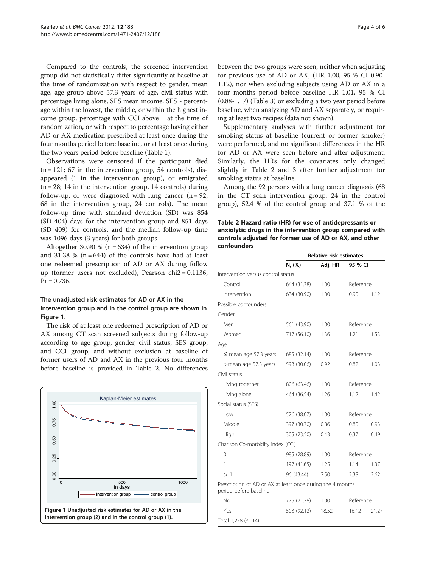Compared to the controls, the screened intervention group did not statistically differ significantly at baseline at the time of randomization with respect to gender, mean age, age group above 57.3 years of age, civil status with percentage living alone, SES mean income, SES - percentage within the lowest, the middle, or within the highest income group, percentage with CCI above 1 at the time of randomization, or with respect to percentage having either AD or AX medication prescribed at least once during the four months period before baseline, or at least once during the two years period before baseline (Table [1\)](#page-2-0).

Observations were censored if the participant died  $(n = 121; 67$  in the intervention group, 54 controls), disappeared (1 in the intervention group), or emigrated  $(n = 28; 14$  in the intervention group, 14 controls) during follow-up, or were diagnosed with lung cancer  $(n = 92)$ ; 68 in the intervention group, 24 controls). The mean follow-up time with standard deviation (SD) was 854 (SD 404) days for the intervention group and 851 days (SD 409) for controls, and the median follow-up time was 1096 days (3 years) for both groups.

Altogether 30.90 % ( $n = 634$ ) of the intervention group and 31.38 % ( $n = 644$ ) of the controls have had at least one redeemed prescription of AD or AX during follow up (former users not excluded), Pearson chi2 = 0.1136,  $Pr = 0.736$ .

# The unadjusted risk estimates for AD or AX in the intervention group and in the control group are shown in Figure 1.

The risk of at least one redeemed prescription of AD or AX among CT scan screened subjects during follow-up according to age group, gender, civil status, SES group, and CCI group, and without exclusion at baseline of former users of AD and AX in the previous four months before baseline is provided in Table 2. No differences



between the two groups were seen, neither when adjusting for previous use of AD or AX, (HR 1.00, 95 % CI 0.90- 1.12), nor when excluding subjects using AD or AX in a four months period before baseline HR 1.01, 95 % CI (0.88-1.17) (Table [3\)](#page-4-0) or excluding a two year period before baseline, when analyzing AD and AX separately, or requiring at least two recipes (data not shown).

Supplementary analyses with further adjustment for smoking status at baseline (current or former smoker) were performed, and no significant differences in the HR for AD or AX were seen before and after adjustment. Similarly, the HRs for the covariates only changed slightly in Table 2 and [3](#page-4-0) after further adjustment for smoking status at baseline.

Among the 92 persons with a lung cancer diagnosis (68 in the CT scan intervention group; 24 in the control group), 52.4 % of the control group and 37.1 % of the

| Table 2 Hazard ratio (HR) for use of antidepressants or  |
|----------------------------------------------------------|
| anxiolytic drugs in the intervention group compared with |
| controls adjusted for former use of AD or AX, and other  |
| <b>confounders</b>                                       |

|                                                                                      | <b>Relative risk estimates</b> |         |           |           |  |
|--------------------------------------------------------------------------------------|--------------------------------|---------|-----------|-----------|--|
|                                                                                      | N, (%)                         | Adj. HR | 95 % CI   |           |  |
| Intervention versus control status                                                   |                                |         |           |           |  |
| Control                                                                              | 644 (31.38)                    | 1.00    | Reference |           |  |
| Intervention                                                                         | 634 (30.90)                    | 1.00    | 0.90      | 1.12      |  |
| Possible confounders:                                                                |                                |         |           |           |  |
| Gender                                                                               |                                |         |           |           |  |
| Men                                                                                  | 561 (43.90)                    | 1.00    |           | Reference |  |
| Women                                                                                | 717 (56.10)                    | 1.36    | 1.21      | 1.53      |  |
| Age                                                                                  |                                |         |           |           |  |
| $\leq$ mean age 57.3 years                                                           | 685 (32.14)                    | 1.00    | Reference |           |  |
| >mean age 57.3 years                                                                 | 593 (30.06)                    | 0.92    | 0.82      | 1.03      |  |
| Civil status                                                                         |                                |         |           |           |  |
| Living together                                                                      | 806 (63.46)                    | 1.00    | Reference |           |  |
| Living alone                                                                         | 464 (36.54)                    | 1.26    | 1.12      | 142       |  |
| Social status (SES)                                                                  |                                |         |           |           |  |
| l ow                                                                                 | 576 (38.07)                    | 1.00    |           | Reference |  |
| Middle                                                                               | 397 (30.70)                    | 0.86    | 0.80      | 0.93      |  |
| High                                                                                 | 305 (23.50)                    | 0.43    | 0.37      | 0.49      |  |
| Charlson Co-morbidity index (CCI)                                                    |                                |         |           |           |  |
| $\Omega$                                                                             | 985 (28.89)                    | 1.00    | Reference |           |  |
| 1                                                                                    | 197 (41.65)                    | 1.25    | 1.14      | 1.37      |  |
| >1                                                                                   | 96 (43.44)                     | 2.50    | 2.38      | 2.62      |  |
| Prescription of AD or AX at least once during the 4 months<br>period before baseline |                                |         |           |           |  |
| No                                                                                   | 775 (21.78)                    | 1.00    | Reference |           |  |
| Yes                                                                                  | 503 (92.12)                    | 18.52   | 16.12     | 21.27     |  |
| Total 1,278 (31.14)                                                                  |                                |         |           |           |  |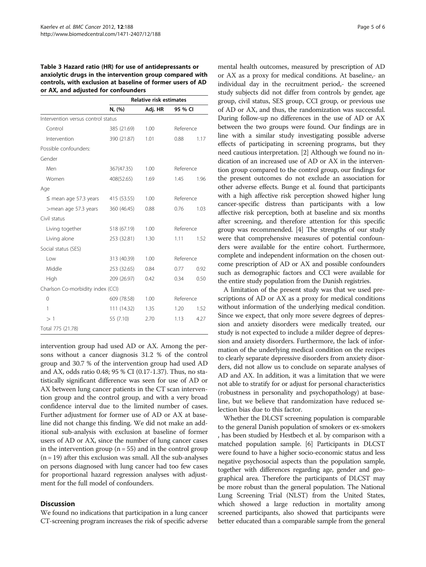<span id="page-4-0"></span>Table 3 Hazard ratio (HR) for use of antidepressants or anxiolytic drugs in the intervention group compared with controls, with exclusion at baseline of former users of AD or AX, and adjusted for confounders

|                                    | <b>Relative risk estimates</b> |         |           |      |
|------------------------------------|--------------------------------|---------|-----------|------|
|                                    | N, (%)                         | Adj. HR | 95 % CI   |      |
| Intervention versus control status |                                |         |           |      |
| Control                            | 385 (21.69)                    | 1.00    | Reference |      |
| Intervention                       | 390 (21.87)                    | 1.01    | 0.88      | 1.17 |
| Possible confounders:              |                                |         |           |      |
| Gender                             |                                |         |           |      |
| Men                                | 367(47.35)                     | 1.00    | Reference |      |
| Women                              | 408(52.65)                     | 1.69    | 1.45      | 1.96 |
| Age                                |                                |         |           |      |
| $\leq$ mean age 57.3 years         | 415 (53.55)                    | 1.00    | Reference |      |
| >mean age 57.3 years               | 360 (46.45)                    | 0.88    | 0.76      | 1.03 |
| Civil status                       |                                |         |           |      |
| Living together                    | 518 (67.19)                    | 1.00    | Reference |      |
| Living alone                       | 253 (32.81)                    | 1.30    | 1.11      | 1.52 |
| Social status (SES)                |                                |         |           |      |
| Low                                | 313 (40.39)                    | 1.00    | Reference |      |
| Middle                             | 253 (32.65)                    | 0.84    | 0.77      | 0.92 |
| High                               | 209 (26.97)                    | 0.42    | 0.34      | 0.50 |
| Charlson Co-morbidity index (CCI)  |                                |         |           |      |
| $\Omega$                           | 609 (78.58)                    | 1.00    | Reference |      |
| 1                                  | 111 (14.32)                    | 1.35    | 1.20      | 1.52 |
| >1                                 | 55 (7.10)                      | 2.70    | 1.13      | 4.27 |
| Total 775 (21.78)                  |                                |         |           |      |

intervention group had used AD or AX. Among the persons without a cancer diagnosis 31.2 % of the control group and 30.7 % of the intervention group had used AD and AX, odds ratio 0.48; 95 % CI (0.17-1.37). Thus, no statistically significant difference was seen for use of AD or AX between lung cancer patients in the CT scan intervention group and the control group, and with a very broad confidence interval due to the limited number of cases. Further adjustment for former use of AD or AX at baseline did not change this finding. We did not make an additional sub-analysis with exclusion at baseline of former users of AD or AX, since the number of lung cancer cases in the intervention group ( $n = 55$ ) and in the control group  $(n = 19)$  after this exclusion was small. All the sub-analyses on persons diagnosed with lung cancer had too few cases for proportional hazard regression analyses with adjustment for the full model of confounders.

#### **Discussion**

We found no indications that participation in a lung cancer CT-screening program increases the risk of specific adverse mental health outcomes, measured by prescription of AD or AX as a proxy for medical conditions. At baseline,- an individual day in the recruitment period,- the screened study subjects did not differ from controls by gender, age group, civil status, SES group, CCI group, or previous use of AD or AX, and thus, the randomization was successful. During follow-up no differences in the use of AD or AX between the two groups were found. Our findings are in line with a similar study investigating possible adverse effects of participating in screening programs, but they need cautious interpretation. [\[2\]](#page-5-0) Although we found no indication of an increased use of AD or AX in the intervention group compared to the control group, our findings for the present outcomes do not exclude an association for other adverse effects. Bunge et al. found that participants with a high affective risk perception showed higher lung cancer-specific distress than participants with a low affective risk perception, both at baseline and six months after screening, and therefore attention for this specific group was recommended. [[4](#page-5-0)] The strengths of our study were that comprehensive measures of potential confounders were available for the entire cohort. Furthermore, complete and independent information on the chosen outcome prescription of AD or AX and possible confounders such as demographic factors and CCI were available for the entire study population from the Danish registries.

A limitation of the present study was that we used prescriptions of AD or AX as a proxy for medical conditions without information of the underlying medical condition. Since we expect, that only more severe degrees of depression and anxiety disorders were medically treated, our study is not expected to include a milder degree of depression and anxiety disorders. Furthermore, the lack of information of the underlying medical condition on the recipes to clearly separate depressive disorders from anxiety disorders, did not allow us to conclude on separate analyses of AD and AX. In addition, it was a limitation that we were not able to stratify for or adjust for personal characteristics (robustness in personality and psychopathology) at baseline, but we believe that randomization have reduced selection bias due to this factor.

Whether the DLCST screening population is comparable to the general Danish population of smokers or ex-smokers , has been studied by Hestbech et al. by comparison with a matched population sample. [\[6\]](#page-5-0) Participants in DLCST were found to have a higher socio-economic status and less negative psychosocial aspects than the population sample, together with differences regarding age, gender and geographical area. Therefore the participants of DLCST may be more robust than the general population. The National Lung Screening Trial (NLST) from the United States, which showed a large reduction in mortality among screened participants, also showed that participants were better educated than a comparable sample from the general